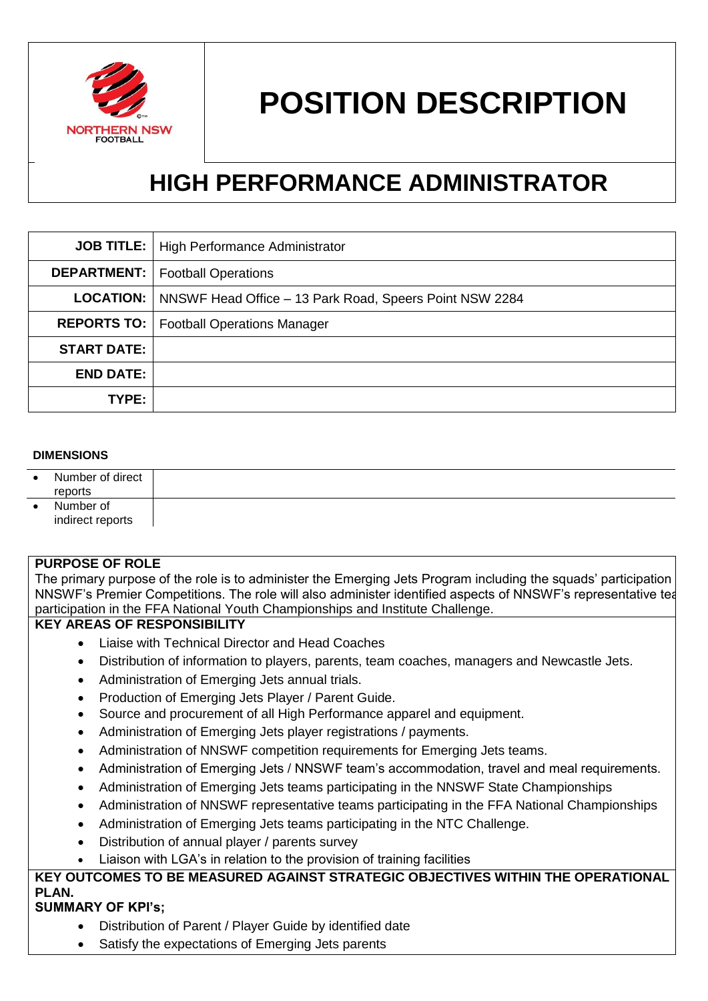

# **POSITION DESCRIPTION**

## **HIGH PERFORMANCE ADMINISTRATOR**

|                    | <b>JOB TITLE:</b>   High Performance Administrator                         |
|--------------------|----------------------------------------------------------------------------|
|                    | <b>DEPARTMENT:</b>   Football Operations                                   |
|                    | <b>LOCATION:</b>   NNSWF Head Office – 13 Park Road, Speers Point NSW 2284 |
|                    | <b>REPORTS TO:</b>   Football Operations Manager                           |
| <b>START DATE:</b> |                                                                            |
| <b>END DATE:</b>   |                                                                            |
| TYPE:              |                                                                            |

#### **DIMENSIONS**

| $\bullet$ | Number of direct<br>reports   |  |
|-----------|-------------------------------|--|
|           | Number of<br>indirect reports |  |

#### **PURPOSE OF ROLE**

The primary purpose of the role is to administer the Emerging Jets Program including the squads' participation in NNSWF's Premier Competitions. The role will also administer identified aspects of NNSWF's representative teams participation in the FFA National Youth Championships and Institute Challenge.

#### **KEY AREAS OF RESPONSIBILITY**

- Liaise with Technical Director and Head Coaches
- Distribution of information to players, parents, team coaches, managers and Newcastle Jets.
- Administration of Emerging Jets annual trials.
- Production of Emerging Jets Player / Parent Guide.
- Source and procurement of all High Performance apparel and equipment.
- Administration of Emerging Jets player registrations / payments.
- Administration of NNSWF competition requirements for Emerging Jets teams.
- Administration of Emerging Jets / NNSWF team's accommodation, travel and meal requirements.
- Administration of Emerging Jets teams participating in the NNSWF State Championships
- Administration of NNSWF representative teams participating in the FFA National Championships
- Administration of Emerging Jets teams participating in the NTC Challenge.
- Distribution of annual player / parents survey
- Liaison with LGA's in relation to the provision of training facilities

**KEY OUTCOMES TO BE MEASURED AGAINST STRATEGIC OBJECTIVES WITHIN THE OPERATIONAL PLAN.**

### **SUMMARY OF KPI's;**

- Distribution of Parent / Player Guide by identified date
- Satisfy the expectations of Emerging Jets parents